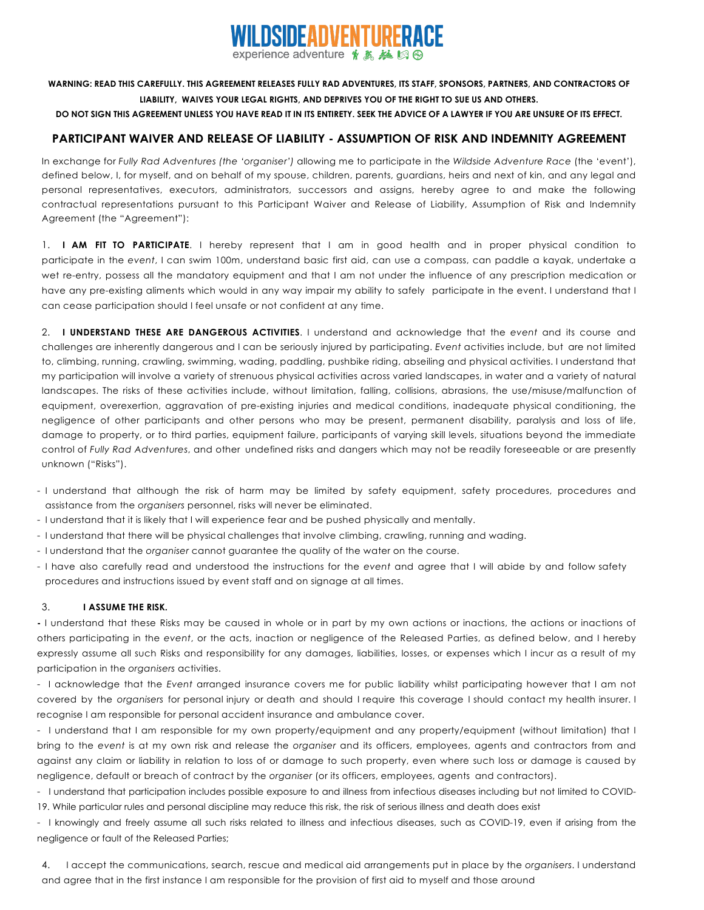

## WARNING: READ THIS CAREFULLY. THIS AGREEMENT RELEASES FULLY RAD ADVENTURES, ITS STAFF, SPONSORS, PARTNERS, AND CONTRACTORS OF **LIABILITY, WAIVES YOUR LEGAL RIGHTS, AND DEPRIVES YOU OF THE RIGHT TO SUE US AND OTHERS.**

DO NOT SIGN THIS AGREEMENT UNLESS YOU HAVE READ IT IN ITS ENTIRETY. SEEK THE ADVICE OF A LAWYER IF YOU ARE UNSURE OF ITS EFFECT.

## **PARTICIPANT WAIVER AND RELEASE OF LIABILITY - ASSUMPTION OF RISK AND INDEMNITY AGREEMENT**

In exchange for *Fully Rad Adventures (the 'organiser')* allowing me to participate in the *Wildside Adventure Race* (the 'event'), defined below, I, for myself, and on behalf of my spouse, children, parents, guardians, heirs and next of kin, and any legal and personal representatives, executors, administrators, successors and assigns, hereby agree to and make the following contractual representations pursuant to this Participant Waiver and Release of Liability, Assumption of Risk and Indemnity Agreement (the "Agreement"):

1. **I AM FIT TO PARTICIPATE**. I hereby represent that I am in good health and in proper physical condition to participate in the *event*, I can swim 100m, understand basic first aid, can use a compass, can paddle a kayak, undertake a wet re-entry, possess all the mandatory equipment and that I am not under the influence of any prescription medication or have any pre-existing aliments which would in any way impair my ability to safely participate in the event. I understand that I can cease participation should I feel unsafe or not confident at any time.

2. **I UNDERSTAND THESE ARE DANGEROUS ACTIVITIES**. I understand and acknowledge that the *event* and its course and challenges are inherently dangerous and I can be seriously injured by participating. *Event* activities include, but are not limited to, climbing, running, crawling, swimming, wading, paddling, pushbike riding, abseiling and physical activities. I understand that my participation will involve a variety of strenuous physical activities across varied landscapes, in water and a variety of natural landscapes. The risks of these activities include, without limitation, falling, collisions, abrasions, the use/misuse/malfunction of equipment, overexertion, aggravation of pre-existing injuries and medical conditions, inadequate physical conditioning, the negligence of other participants and other persons who may be present, permanent disability, paralysis and loss of life, damage to property, or to third parties, equipment failure, participants of varying skill levels, situations beyond the immediate control of *Fully Rad Adventures*, and other undefined risks and dangers which may not be readily foreseeable or are presently unknown ("Risks").

- I understand that although the risk of harm may be limited by safety equipment, safety procedures, procedures and assistance from the *organisers* personnel, risks will never be eliminated.
- I understand that it is likely that I will experience fear and be pushed physically and mentally.
- I understand that there will be physical challenges that involve climbing, crawling, running and wading.
- I understand that the *organiser* cannot guarantee the quality of the water on the course.
- I have also carefully read and understood the instructions for the *event* and agree that I will abide by and follow safety procedures and instructions issued by event staff and on signage at all times.

## 3. **I ASSUME THE RISK.**

**-** I understand that these Risks may be caused in whole or in part by my own actions or inactions, the actions or inactions of others participating in the *event*, or the acts, inaction or negligence of the Released Parties, as defined below, and I hereby expressly assume all such Risks and responsibility for any damages, liabilities, losses, or expenses which I incur as a result of my participation in the *organisers* activities.

- I acknowledge that the *Event* arranged insurance covers me for public liability whilst participating however that I am not covered by the *organisers* for personal injury or death and should I require this coverage I should contact my health insurer. I recognise I am responsible for personal accident insurance and ambulance cover.

- I understand that I am responsible for my own property/equipment and any property/equipment (without limitation) that I bring to the *event* is at my own risk and release the *organiser* and its officers, employees, agents and contractors from and against any claim or liability in relation to loss of or damage to such property, even where such loss or damage is caused by negligence, default or breach of contract by the *organiser* (or its officers, employees, agents and contractors).

- I understand that participation includes possible exposure to and illness from infectious diseases including but not limited to COVID-19. While particular rules and personal discipline may reduce this risk, the risk of serious illness and death does exist

- I knowingly and freely assume all such risks related to illness and infectious diseases, such as COVID-19, even if arising from the negligence or fault of the Released Parties;

4. I accept the communications, search, rescue and medical aid arrangements put in place by the *organisers*. I understand and agree that in the first instance I am responsible for the provision of first aid to myself and those around